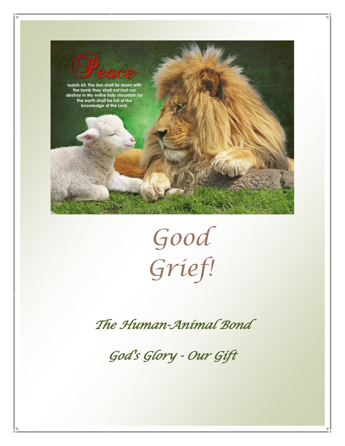



*The Human-Animal Bond* 

*God's Glory - Our Gift*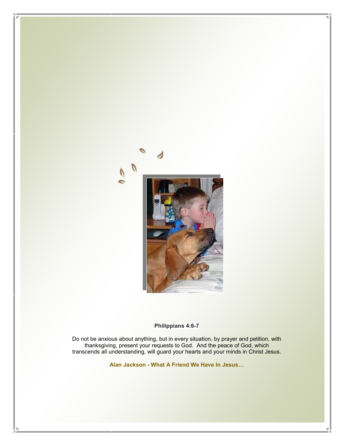

#### **Philippians 4:6-7**

Do not be anxious about anything, but in every situation, by prayer and petition, with thanksgiving, present your requests to God. And the peace of God, which [transcends all understanding, will guard your hearts and your minds in Christ Jesus.](https://www.youtube.com/watch?v=znWu2HCJ92c)

**Alan Jackson - [What A Friend We Have In Jesus](https://www.youtube.com/watch?v=znWu2HCJ92c)…**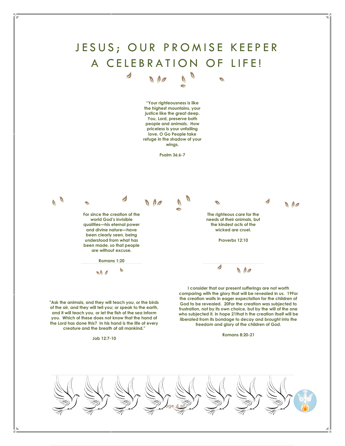# JESUS; OUR PROMISE KEEPER A CELEBRATION OF LIFE!

 $N_{0}$ 

 $\overline{\phantom{a}}$ 

**"Your righteousness is like the highest mountains, your justice like the great deep. You, Lord, preserve both people and animals. How priceless is your unfailing love, O Go People take refuge in the shadow of your wings.** 

**Psalm 36:6-7**



**"Ask the animals, and they will teach you, or the birds of the air, and they will tell you; or speak to the earth, and it will teach you, or let the fish of the sea inform you. Which of these does not know that the hand of the Lord has done this? In his hand is the life of every creature and the breath of all mankind."**

#### **Job 12:7-10**

**freedom and glory of the children of God. Romans 8:20-21**

**frustration, not by its own choice, but by the will of the one who subjected it, in hope 21that h the creation itself will be liberated from its bondage to decay and brought into the** 

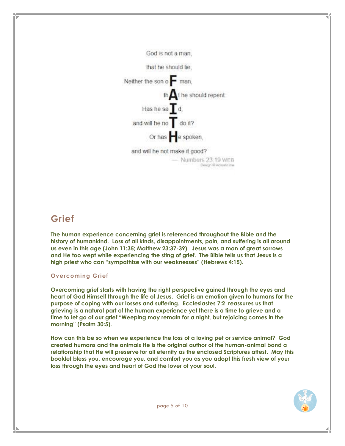God is not a man.

that he should lie.

Neither the son o  $\blacksquare$  man,

th $\bigwedge$ t he should repent

Has he sa $\mathbf I$ d,

and will he no do it?

Or has e spoken.

and will he not make it good?

 $-$  Numbers  $23.19$  WEB Design 6 Agrestic me

### **Grief**

**The human experience concerning grief is referenced throughout the Bible and the history of humankind. Loss of all kinds, disappointments, pain, and suffering is all around us even in this age [\(John 11:35;](http://biblia.com/bible/esv/John%2011.35) [Matthew 23:37-39\)](http://biblia.com/bible/esv/Matthew%2023.37-39). Jesus was a man of great sorrows and He too wept while experiencing the sting of grief. The Bible tells us that Jesus is a high priest who can "sympathize with our weaknesses" ([Hebrews 4:15\)](http://biblia.com/bible/esv/Hebrews%204.15).**

#### **Overcoming Grief**

**Overcoming grief starts with having the right perspective gained through the eyes and heart of God Himself through the life of Jesus. Grief is an emotion given to humans for the purpose of coping with our losses and suffering. [Ecclesiastes 7:2](http://biblia.com/bible/esv/Ecclesiastes%207.2) reassures us that grieving is a natural part of the human experience yet there is a time to grieve and a time to let go of our grief "Weeping may remain for a night, but rejoicing comes in the morning" ([Psalm 30:5\)](http://biblia.com/bible/esv/Psalm%2030.5).** 

**How can this be so when we experience the loss of a loving pet or service animal? God created humans and the animals He is the original author of the human-animal bond a relationship that He will preserve for all eternity as the enclosed Scriptures attest. May this booklet bless you, encourage you, and comfort you as you adopt this fresh view of your loss through the eyes and heart of God the lover of your soul.** 

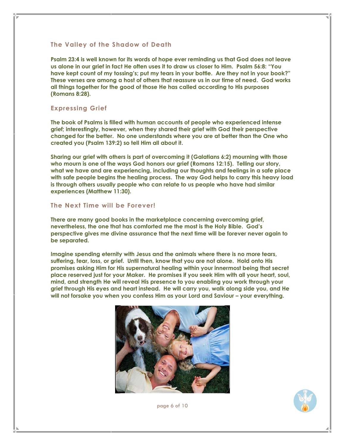#### **The Valley of the Shadow of Death**

**Psalm 23:4 is well known for its words of hope ever reminding us that God does not leave us alone in our grief in fact He often uses it to draw us closer to Him. Psalm 56:8: "You have kept count of my tossing's; put my tears in your bottle. Are they not in your book?" These verses are among a host of others that reassure us in our time of need. God works all things together for the good of those He has called according to His purposes (Romans 8:28).**

#### **Expressing Grief**

**The book of Psalms is filled with human accounts of people who experienced intense grief; interestingly, however, when they shared their grief with God their perspective changed for the better. No one understands where you are at better than the One who created you (Psalm 139:2) so tell Him all about it.** 

**Sharing our grief with others is part of overcoming it (Galatians 6:2) mourning with those who mourn is one of the ways God honors our grief (Romans 12:15). Telling our story, what we have and are experiencing, including our thoughts and feelings in a safe place with safe people begins the healing process. The way God helps to carry this heavy load is through others usually people who can relate to us people who have had similar experiences (Matthew 11:30).** 

#### **The Next Time will be Forever!**

**There are many good books in the marketplace concerning overcoming grief, nevertheless, the one that has comforted me the most is the Holy Bible. God's perspective gives me divine assurance that the next time will be forever never again to be separated.** 

**Imagine spending eternity with Jesus and the animals where there is no more tears, suffering, fear, loss, or grief. Until then, know that you are not alone. Hold onto His promises asking Him for His supernatural healing within your innermost being that secret place reserved just for your Maker. He promises if you seek Him with all your heart, soul, mind, and strength He will reveal His presence to you enabling you work through your grief through His eyes and heart instead. He will carry you, walk along side you, and He will not forsake you when you confess Him as your Lord and Saviour – your everything.** 





page 6 of 10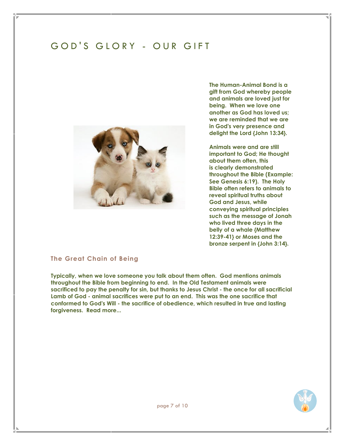# GOD'S GLORY - OUR GIFT



**The Human-Animal Bond is a gift from God whereby people and animals are loved just for being. When we love one another as God has loved us; we are reminded that we are in God's very presence and delight the Lord {John 13:34}.**

**Animals were and are still important to God; He thought about them often, this is clearly demonstrated throughout the Bible (Example: [See Genesis 6:19\)](http://bible.cc/genesis/6-19.htm). The Holy Bible often refers to animals to reveal spiritual truths about God and Jesus, while conveying spiritual principles such as the message of Jonah who lived three days in the belly of a whale [{Matthew](http://www.biblegateway.com/passage/?search=Matthew+12%3A39-41&version=NIV)  [12:39-41}](http://www.biblegateway.com/passage/?search=Matthew+12%3A39-41&version=NIV) or Moses and the bronze serpent in [{John 3:14}](http://www.biblegateway.com/passage/?search=john%203:14&version=NIV).** 

#### **The Great Chain of Being**

**Typically, when we love someone you talk about them often. God mentions animals throughout the Bible from beginning to end. In the Old Testament animals were sacrificed to pay the penalty for sin, but thanks to Jesus Christ - the once for all sacrificial Lamb of God - animal sacrifices were put to an end. This was the one sacrifice that conformed to God's Will - the sacrifice of obedience, which resulted in true and lasting forgiveness. [Read more...](http://www.earlychristianwritings.com/info/hebrews-larm.html)**

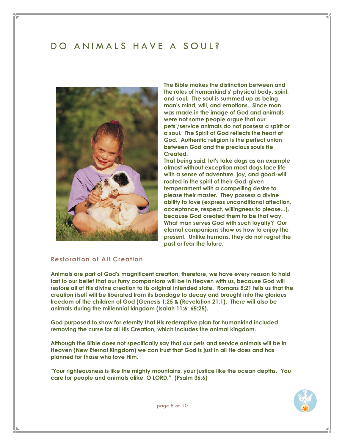### DO ANIMALS HAVE A SOUL?



**The Bible makes the distinction between and the roles of humankind's' physical body, spirit, and soul. The soul is summed up as being man's mind, will, and emotions. Since man was made in the image of God and animals were not some people argue that our pets'/service animals do not possess a spirit or a soul. The Spirit of God reflects the heart of God. Authentic religion is the perfect union between God and the precious souls He Created.** 

**That being said, let's take dogs as an example almost without exception most dogs face life with a sense of adventure, joy, and good-will rooted in the spirit of their God-given temperament with a compelling desire to please their master. They possess a divine ability to love (express unconditional affection, acceptance, respect, willingness to please...), because God created them to be that way. What man serves God with such loyalty? Our eternal companions show us how to enjoy the present. Unlike humans, they do not regret the past or fear the future.**

#### **Restoration of All Creation**

**Animals are part of God's magnificent creation, therefore, we have every reason to hold fast to our belief that our furry companions will be in Heaven with us, because God will restore all of His divine creation to its original intended state. Romans 8:21 tells us that the creation itself will be liberated from its bondage to decay and brought into the glorious freedom of the children of God (Genesis 1:25 & (Revelation 21:1). There will also be animals during the millennial kingdom (Isaiah 11:6; 65:25).** 

**God purposed to show for eternity that His redemptive plan for humankind included removing the curse for all His Creation, which includes the animal kingdom.** 

**Although the Bible does not specifically say that our pets and service animals will be in Heaven (New Eternal Kingdom) we can trust that God is just in all He does and has planned for those who love Him.** 

**"Your righteousness is like the mighty mountains, your justice like the ocean depths. You care for people and animals alike, O LORD." (Psalm 36:6)**



page 8 of 10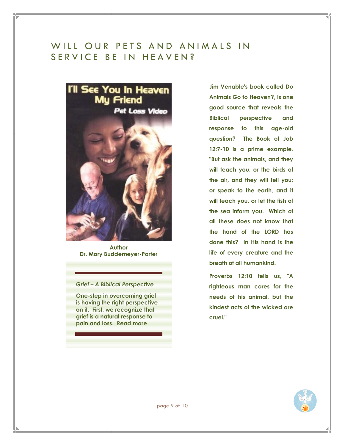### WILL OUR PETS AND ANIMALS IN SERVICE BE IN HEAVEN?



**Author [Dr. Mary Buddemeyer-Porter](http://www.creatures.com/)**

#### *Grief – A Biblical Perspective*

**One-step in overcoming grief is having the right perspective on it. First, we recognize that grief is a natural response to pain and loss. [Read more](http://www.gotquestions.org/overcoming-grief.html#ixzz2YNijNUsO)**

**Jim Venable's book called Do Animals Go to Heaven?, is one good source that reveals the Biblical perspective and response to this age-old question? The Book of Job 12:7-10 is a prime example, "But ask the animals, and they will teach you, or the birds of the air, and they will tell you; or speak to the earth, and it will teach you, or let the fish of the sea inform you. Which of all these does not know that the hand of the LORD has done this? In His hand is the life of every creature and the breath of all humankind.**

**Proverbs 12:10 tells us, "A righteous man cares for the needs of his animal, but the kindest acts of the wicked are cruel."**

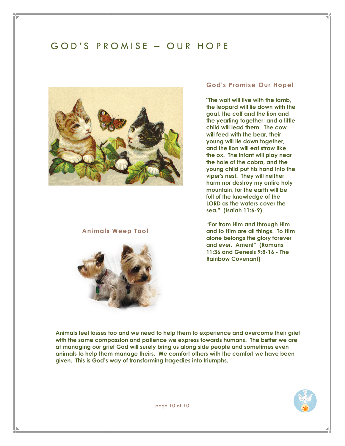## GOD'S PROMISE - OUR HOPE



#### **Animals Weep Too!**



#### **God's Promise Our Hope!**

**"The wolf will live with the lamb, the leopard will lie down with the goat, the calf and the lion and the yearling together; and a little child will lead them. The cow will feed with the bear, their young will lie down together, and the lion will eat straw like the ox. The infant will play near the hole of the cobra, and the young child put his hand into the viper's nest. They will neither harm nor destroy my entire holy mountain, for the earth will be full of the knowledge of the LORD as the waters cover the sea." (Isaiah 11:6-9)**

**"For from Him and through Him and to Him are all things. To Him alone belongs the glory forever and ever. Amen!" (Romans 11:36 and [Genesis 9:8-16 -](http://www.biblegateway.com/passage/?search=Genesis+9%3A8-16%2CEzekiel+1%3A28&version=NIV) The [Rainbow Covenant\)](http://www.biblegateway.com/passage/?search=Genesis+9%3A8-16%2CEzekiel+1%3A28&version=NIV)**

**Animals feel losses too and we need to help them to experience and overcome their grief with the same compassion and patience we express towards humans. The better we are at managing our grief God will surely bring us along side people and sometimes even animals to help them manage theirs. We comfort others with the comfort we have been given. This is God's way of transforming tragedies into triumphs.**